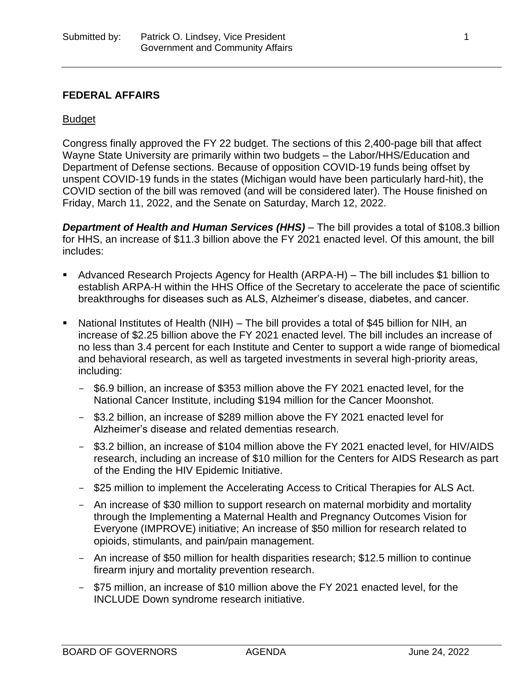### **FEDERAL AFFAIRS**

#### Budget

Congress finally approved the FY 22 budget. The sections of this 2,400-page bill that affect Wayne State University are primarily within two budgets – the Labor/HHS/Education and Department of Defense sections. Because of opposition COVID-19 funds being offset by unspent COVID-19 funds in the states (Michigan would have been particularly hard-hit), the COVID section of the bill was removed (and will be considered later). The House finished on Friday, March 11, 2022, and the Senate on Saturday, March 12, 2022.

*Department of Health and Human Services (HHS)* – The bill provides a total of \$108.3 billion for HHS, an increase of \$11.3 billion above the FY 2021 enacted level. Of this amount, the bill includes:

- Advanced Research Projects Agency for Health (ARPA-H) The bill includes \$1 billion to establish ARPA-H within the HHS Office of the Secretary to accelerate the pace of scientific breakthroughs for diseases such as ALS, Alzheimer's disease, diabetes, and cancer.
- National Institutes of Health (NIH) The bill provides a total of \$45 billion for NIH, an increase of \$2.25 billion above the FY 2021 enacted level. The bill includes an increase of no less than 3.4 percent for each Institute and Center to support a wide range of biomedical and behavioral research, as well as targeted investments in several high-priority areas, including:
	- \$6.9 billion, an increase of \$353 million above the FY 2021 enacted level, for the National Cancer Institute, including \$194 million for the Cancer Moonshot.
	- \$3.2 billion, an increase of \$289 million above the FY 2021 enacted level for Alzheimer's disease and related dementias research.
	- \$3.2 billion, an increase of \$104 million above the FY 2021 enacted level, for HIV/AIDS research, including an increase of \$10 million for the Centers for AIDS Research as part of the Ending the HIV Epidemic Initiative.
	- \$25 million to implement the Accelerating Access to Critical Therapies for ALS Act.
	- An increase of \$30 million to support research on maternal morbidity and mortality through the Implementing a Maternal Health and Pregnancy Outcomes Vision for Everyone (IMPROVE) initiative; An increase of \$50 million for research related to opioids, stimulants, and pain/pain management.
	- An increase of \$50 million for health disparities research; \$12.5 million to continue firearm injury and mortality prevention research.
	- \$75 million, an increase of \$10 million above the FY 2021 enacted level, for the INCLUDE Down syndrome research initiative.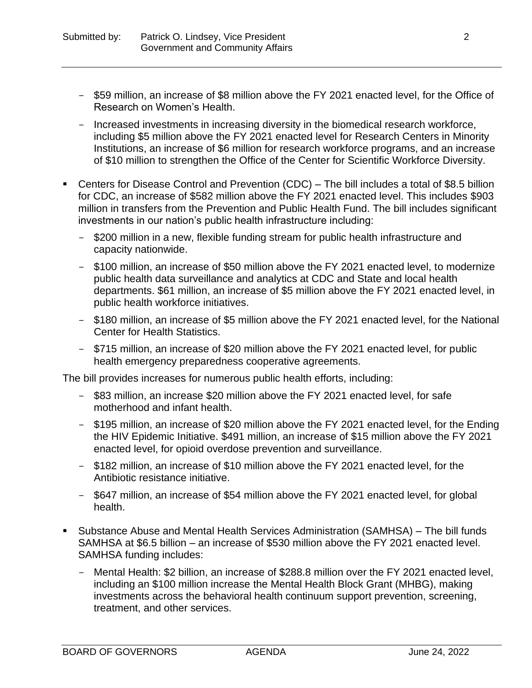- \$59 million, an increase of \$8 million above the FY 2021 enacted level, for the Office of Research on Women's Health.
- Increased investments in increasing diversity in the biomedical research workforce, including \$5 million above the FY 2021 enacted level for Research Centers in Minority Institutions, an increase of \$6 million for research workforce programs, and an increase of \$10 million to strengthen the Office of the Center for Scientific Workforce Diversity.
- Centers for Disease Control and Prevention (CDC) The bill includes a total of \$8.5 billion for CDC, an increase of \$582 million above the FY 2021 enacted level. This includes \$903 million in transfers from the Prevention and Public Health Fund. The bill includes significant investments in our nation's public health infrastructure including:
	- \$200 million in a new, flexible funding stream for public health infrastructure and capacity nationwide.
	- \$100 million, an increase of \$50 million above the FY 2021 enacted level, to modernize public health data surveillance and analytics at CDC and State and local health departments. \$61 million, an increase of \$5 million above the FY 2021 enacted level, in public health workforce initiatives.
	- \$180 million, an increase of \$5 million above the FY 2021 enacted level, for the National Center for Health Statistics.
	- \$715 million, an increase of \$20 million above the FY 2021 enacted level, for public health emergency preparedness cooperative agreements.

The bill provides increases for numerous public health efforts, including:

- \$83 million, an increase \$20 million above the FY 2021 enacted level, for safe motherhood and infant health.
- \$195 million, an increase of \$20 million above the FY 2021 enacted level, for the Ending the HIV Epidemic Initiative. \$491 million, an increase of \$15 million above the FY 2021 enacted level, for opioid overdose prevention and surveillance.
- \$182 million, an increase of \$10 million above the FY 2021 enacted level, for the Antibiotic resistance initiative.
- \$647 million, an increase of \$54 million above the FY 2021 enacted level, for global health.
- Substance Abuse and Mental Health Services Administration (SAMHSA) The bill funds SAMHSA at \$6.5 billion – an increase of \$530 million above the FY 2021 enacted level. SAMHSA funding includes:
	- Mental Health: \$2 billion, an increase of \$288.8 million over the FY 2021 enacted level, including an \$100 million increase the Mental Health Block Grant (MHBG), making investments across the behavioral health continuum support prevention, screening, treatment, and other services.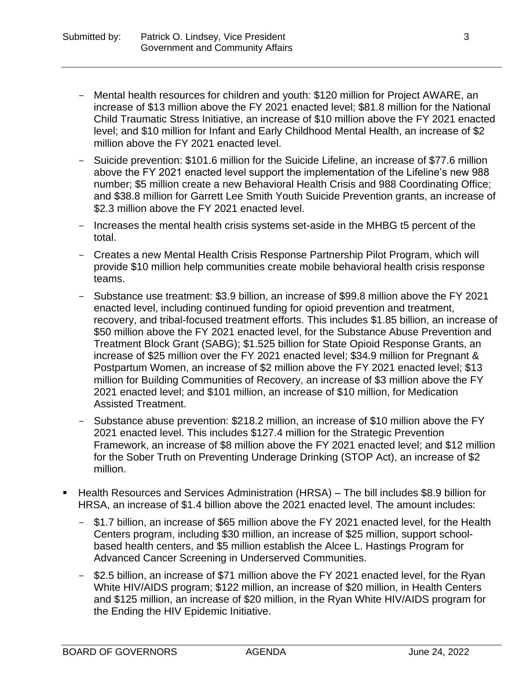- Mental health resources for children and youth: \$120 million for Project AWARE, an increase of \$13 million above the FY 2021 enacted level; \$81.8 million for the National Child Traumatic Stress Initiative, an increase of \$10 million above the FY 2021 enacted level; and \$10 million for Infant and Early Childhood Mental Health, an increase of \$2 million above the FY 2021 enacted level.
- Suicide prevention: \$101.6 million for the Suicide Lifeline, an increase of \$77.6 million above the FY 2021 enacted level support the implementation of the Lifeline's new 988 number; \$5 million create a new Behavioral Health Crisis and 988 Coordinating Office; and \$38.8 million for Garrett Lee Smith Youth Suicide Prevention grants, an increase of \$2.3 million above the FY 2021 enacted level.
- Increases the mental health crisis systems set-aside in the MHBG t5 percent of the total.
- Creates a new Mental Health Crisis Response Partnership Pilot Program, which will provide \$10 million help communities create mobile behavioral health crisis response teams.
- Substance use treatment: \$3.9 billion, an increase of \$99.8 million above the FY 2021 enacted level, including continued funding for opioid prevention and treatment, recovery, and tribal-focused treatment efforts. This includes \$1.85 billion, an increase of \$50 million above the FY 2021 enacted level, for the Substance Abuse Prevention and Treatment Block Grant (SABG); \$1.525 billion for State Opioid Response Grants, an increase of \$25 million over the FY 2021 enacted level; \$34.9 million for Pregnant & Postpartum Women, an increase of \$2 million above the FY 2021 enacted level; \$13 million for Building Communities of Recovery, an increase of \$3 million above the FY 2021 enacted level; and \$101 million, an increase of \$10 million, for Medication Assisted Treatment.
- Substance abuse prevention: \$218.2 million, an increase of \$10 million above the FY 2021 enacted level. This includes \$127.4 million for the Strategic Prevention Framework, an increase of \$8 million above the FY 2021 enacted level; and \$12 million for the Sober Truth on Preventing Underage Drinking (STOP Act), an increase of \$2 million.
- Health Resources and Services Administration (HRSA) The bill includes \$8.9 billion for HRSA, an increase of \$1.4 billion above the 2021 enacted level. The amount includes:
	- \$1.7 billion, an increase of \$65 million above the FY 2021 enacted level, for the Health Centers program, including \$30 million, an increase of \$25 million, support schoolbased health centers, and \$5 million establish the Alcee L. Hastings Program for Advanced Cancer Screening in Underserved Communities.
	- \$2.5 billion, an increase of \$71 million above the FY 2021 enacted level, for the Ryan White HIV/AIDS program; \$122 million, an increase of \$20 million, in Health Centers and \$125 million, an increase of \$20 million, in the Ryan White HIV/AIDS program for the Ending the HIV Epidemic Initiative.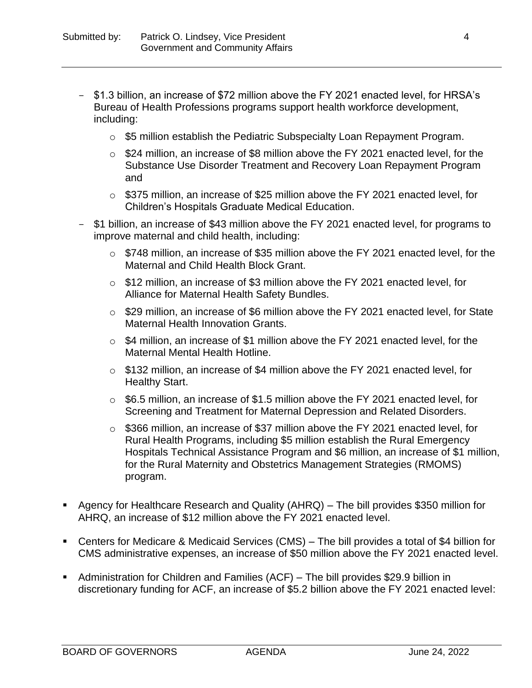- \$1.3 billion, an increase of \$72 million above the FY 2021 enacted level, for HRSA's Bureau of Health Professions programs support health workforce development, including:
	- $\circ$  \$5 million establish the Pediatric Subspecialty Loan Repayment Program.
	- o \$24 million, an increase of \$8 million above the FY 2021 enacted level, for the Substance Use Disorder Treatment and Recovery Loan Repayment Program and
	- o \$375 million, an increase of \$25 million above the FY 2021 enacted level, for Children's Hospitals Graduate Medical Education.
- \$1 billion, an increase of \$43 million above the FY 2021 enacted level, for programs to improve maternal and child health, including:
	- o \$748 million, an increase of \$35 million above the FY 2021 enacted level, for the Maternal and Child Health Block Grant.
	- o \$12 million, an increase of \$3 million above the FY 2021 enacted level, for Alliance for Maternal Health Safety Bundles.
	- o \$29 million, an increase of \$6 million above the FY 2021 enacted level, for State Maternal Health Innovation Grants.
	- o \$4 million, an increase of \$1 million above the FY 2021 enacted level, for the Maternal Mental Health Hotline.
	- $\circ$  \$132 million, an increase of \$4 million above the FY 2021 enacted level, for Healthy Start.
	- $\circ$  \$6.5 million, an increase of \$1.5 million above the FY 2021 enacted level, for Screening and Treatment for Maternal Depression and Related Disorders.
	- o \$366 million, an increase of \$37 million above the FY 2021 enacted level, for Rural Health Programs, including \$5 million establish the Rural Emergency Hospitals Technical Assistance Program and \$6 million, an increase of \$1 million, for the Rural Maternity and Obstetrics Management Strategies (RMOMS) program.
- Agency for Healthcare Research and Quality (AHRQ) The bill provides \$350 million for AHRQ, an increase of \$12 million above the FY 2021 enacted level.
- Centers for Medicare & Medicaid Services (CMS) The bill provides a total of \$4 billion for CMS administrative expenses, an increase of \$50 million above the FY 2021 enacted level.
- Administration for Children and Families (ACF) The bill provides \$29.9 billion in discretionary funding for ACF, an increase of \$5.2 billion above the FY 2021 enacted level: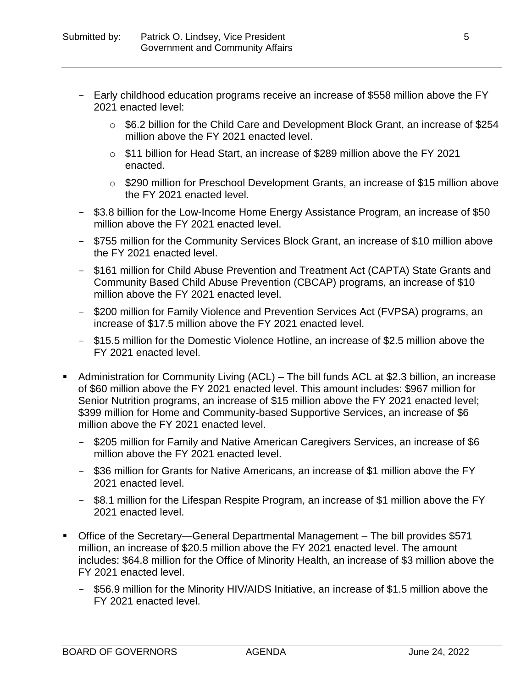- Early childhood education programs receive an increase of \$558 million above the FY 2021 enacted level:
	- o \$6.2 billion for the Child Care and Development Block Grant, an increase of \$254 million above the FY 2021 enacted level.
	- $\circ$  \$11 billion for Head Start, an increase of \$289 million above the FY 2021 enacted.
	- o \$290 million for Preschool Development Grants, an increase of \$15 million above the FY 2021 enacted level.
- \$3.8 billion for the Low-Income Home Energy Assistance Program, an increase of \$50 million above the FY 2021 enacted level.
- \$755 million for the Community Services Block Grant, an increase of \$10 million above the FY 2021 enacted level.
- \$161 million for Child Abuse Prevention and Treatment Act (CAPTA) State Grants and Community Based Child Abuse Prevention (CBCAP) programs, an increase of \$10 million above the FY 2021 enacted level.
- \$200 million for Family Violence and Prevention Services Act (FVPSA) programs, an increase of \$17.5 million above the FY 2021 enacted level.
- \$15.5 million for the Domestic Violence Hotline, an increase of \$2.5 million above the FY 2021 enacted level.
- Administration for Community Living (ACL) The bill funds ACL at \$2.3 billion, an increase of \$60 million above the FY 2021 enacted level. This amount includes: \$967 million for Senior Nutrition programs, an increase of \$15 million above the FY 2021 enacted level; \$399 million for Home and Community-based Supportive Services, an increase of \$6 million above the FY 2021 enacted level.
	- \$205 million for Family and Native American Caregivers Services, an increase of \$6 million above the FY 2021 enacted level.
	- \$36 million for Grants for Native Americans, an increase of \$1 million above the FY 2021 enacted level.
	- \$8.1 million for the Lifespan Respite Program, an increase of \$1 million above the FY 2021 enacted level.
- Office of the Secretary—General Departmental Management The bill provides \$571 million, an increase of \$20.5 million above the FY 2021 enacted level. The amount includes: \$64.8 million for the Office of Minority Health, an increase of \$3 million above the FY 2021 enacted level.
	- \$56.9 million for the Minority HIV/AIDS Initiative, an increase of \$1.5 million above the FY 2021 enacted level.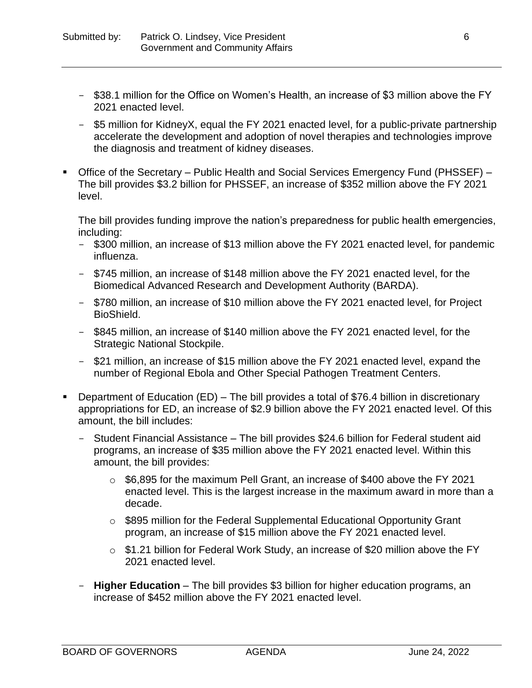- \$38.1 million for the Office on Women's Health, an increase of \$3 million above the FY 2021 enacted level.
- \$5 million for KidneyX, equal the FY 2021 enacted level, for a public-private partnership accelerate the development and adoption of novel therapies and technologies improve the diagnosis and treatment of kidney diseases.
- Office of the Secretary Public Health and Social Services Emergency Fund (PHSSEF) The bill provides \$3.2 billion for PHSSEF, an increase of \$352 million above the FY 2021 level.

The bill provides funding improve the nation's preparedness for public health emergencies, including:

- \$300 million, an increase of \$13 million above the FY 2021 enacted level, for pandemic influenza.
- \$745 million, an increase of \$148 million above the FY 2021 enacted level, for the Biomedical Advanced Research and Development Authority (BARDA).
- \$780 million, an increase of \$10 million above the FY 2021 enacted level, for Project BioShield.
- \$845 million, an increase of \$140 million above the FY 2021 enacted level, for the Strategic National Stockpile.
- \$21 million, an increase of \$15 million above the FY 2021 enacted level, expand the number of Regional Ebola and Other Special Pathogen Treatment Centers.
- Department of Education (ED) The bill provides a total of \$76.4 billion in discretionary appropriations for ED, an increase of \$2.9 billion above the FY 2021 enacted level. Of this amount, the bill includes:
	- Student Financial Assistance The bill provides \$24.6 billion for Federal student aid programs, an increase of \$35 million above the FY 2021 enacted level. Within this amount, the bill provides:
		- o \$6,895 for the maximum Pell Grant, an increase of \$400 above the FY 2021 enacted level. This is the largest increase in the maximum award in more than a decade.
		- o \$895 million for the Federal Supplemental Educational Opportunity Grant program, an increase of \$15 million above the FY 2021 enacted level.
		- o \$1.21 billion for Federal Work Study, an increase of \$20 million above the FY 2021 enacted level.
	- **Higher Education** The bill provides \$3 billion for higher education programs, an increase of \$452 million above the FY 2021 enacted level.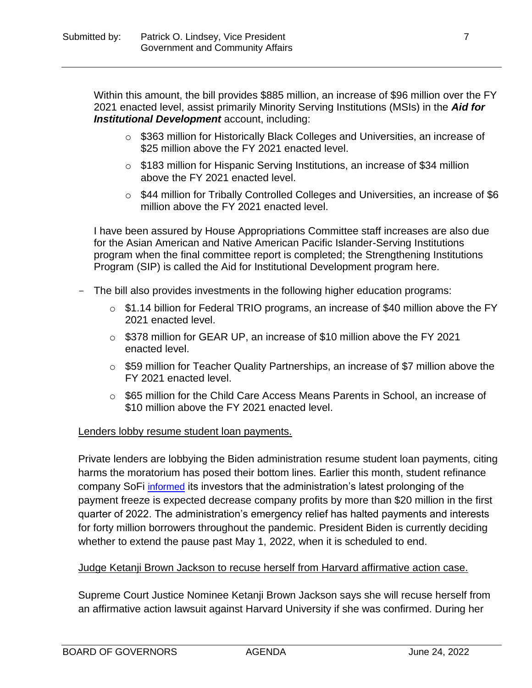Within this amount, the bill provides \$885 million, an increase of \$96 million over the FY 2021 enacted level, assist primarily Minority Serving Institutions (MSIs) in the *Aid for Institutional Development* account, including:

- o \$363 million for Historically Black Colleges and Universities, an increase of \$25 million above the FY 2021 enacted level.
- o \$183 million for Hispanic Serving Institutions, an increase of \$34 million above the FY 2021 enacted level.
- o \$44 million for Tribally Controlled Colleges and Universities, an increase of \$6 million above the FY 2021 enacted level.

I have been assured by House Appropriations Committee staff increases are also due for the Asian American and Native American Pacific Islander-Serving Institutions program when the final committee report is completed; the Strengthening Institutions Program (SIP) is called the Aid for Institutional Development program here.

- The bill also provides investments in the following higher education programs:
	- o \$1.14 billion for Federal TRIO programs, an increase of \$40 million above the FY 2021 enacted level.
	- $\circ$  \$378 million for GEAR UP, an increase of \$10 million above the FY 2021 enacted level.
	- o \$59 million for Teacher Quality Partnerships, an increase of \$7 million above the FY 2021 enacted level.
	- o \$65 million for the Child Care Access Means Parents in School, an increase of \$10 million above the FY 2021 enacted level.

### Lenders lobby resume student loan payments.

Private lenders are lobbying the Biden administration resume student loan payments, citing harms the moratorium has posed their bottom lines. Earlier this month, student refinance company SoFi [informed](https://www.sec.gov/Archives/edgar/data/0001818874/000181887422000029/q42021earningsrelease.htm) its investors that the administration's latest prolonging of the payment freeze is expected decrease company profits by more than \$20 million in the first quarter of 2022. The administration's emergency relief has halted payments and interests for forty million borrowers throughout the pandemic. President Biden is currently deciding whether to extend the pause past May 1, 2022, when it is scheduled to end.

### Judge Ketanji Brown Jackson to recuse herself from Harvard affirmative action case.

Supreme Court Justice Nominee Ketanji Brown Jackson says she will recuse herself from an affirmative action lawsuit against Harvard University if she was confirmed. During her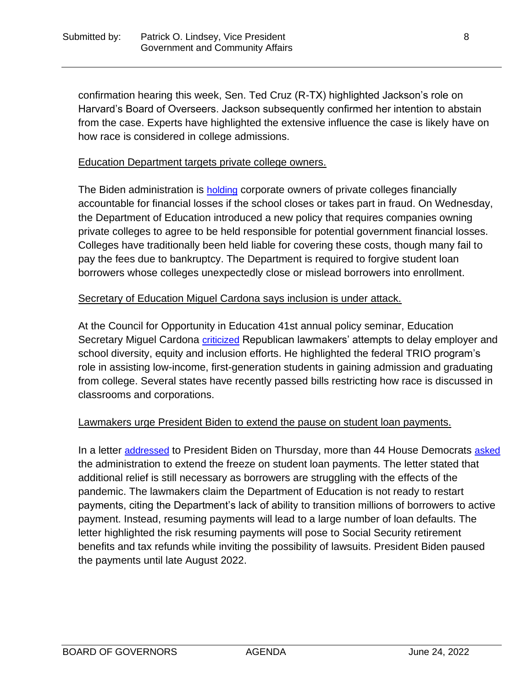confirmation hearing this week, Sen. Ted Cruz (R-TX) highlighted Jackson's role on Harvard's Board of Overseers. Jackson subsequently confirmed her intention to abstain from the case. Experts have highlighted the extensive influence the case is likely have on how race is considered in college admissions.

# Education Department targets private college owners.

The Biden administration is **[holding](https://www.cnbc.com/2022/03/23/feds-say-owners-of-troubled-schools-responsible-for-costs-to-public-.html)** corporate owners of private colleges financially accountable for financial losses if the school closes or takes part in fraud. On Wednesday, the Department of Education introduced a new policy that requires companies owning private colleges to agree to be held responsible for potential government financial losses. Colleges have traditionally been held liable for covering these costs, though many fail to pay the fees due to bankruptcy. The Department is required to forgive student loan borrowers whose colleges unexpectedly close or mislead borrowers into enrollment.

# Secretary of Education Miguel Cardona says inclusion is under attack.

At the Council for Opportunity in Education 41st annual policy seminar, Education Secretary Miguel Cardona [criticized](https://subscriber.politicopro.com/article/2022/03/cardona-inclusion-is-under-attack-00019376) Republican lawmakers' attempts to delay employer and school diversity, equity and inclusion efforts. He highlighted the federal TRIO program's role in assisting low-income, first-generation students in gaining admission and graduating from college. Several states have recently passed bills restricting how race is discussed in classrooms and corporations.

### Lawmakers urge President Biden to extend the pause on student loan payments.

In a letter [addressed](https://go.politicoemail.com/?qs=d2bc9427652341133dce39a5a4981f570b97c80226a8e81e52275728f6064e966badc6ad3e7e7fdc3e0c5bcafc2b709c09dc808898c12910) to President Biden on Thursday, more than 44 House Democrats [asked](https://thehill.com/homenews/house/599295-democrats-press-biden-to-extend-freeze-on-student-loan-payments) the administration to extend the freeze on student loan payments. The letter stated that additional relief is still necessary as borrowers are struggling with the effects of the pandemic. The lawmakers claim the Department of Education is not ready to restart payments, citing the Department's lack of ability to transition millions of borrowers to active payment. Instead, resuming payments will lead to a large number of loan defaults. The letter highlighted the risk resuming payments will pose to Social Security retirement benefits and tax refunds while inviting the possibility of lawsuits. President Biden paused the payments until late August 2022.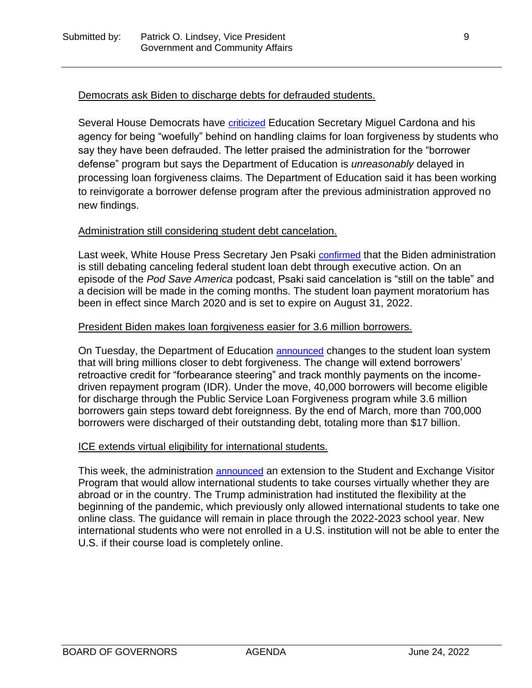### Democrats ask Biden to discharge debts for defrauded students.

Several House Democrats have [criticized](https://jayapal.house.gov/wp-content/uploads/2022/03/2022.03.22-Letter-to-ED-re-Continued-Delay-of-Corinthian-College-Borrower-Discharge-1.pdf) Education Secretary Miguel Cardona and his agency for being "woefully" behind on handling claims for loan forgiveness by students who say they have been defrauded. The letter praised the administration for the "borrower defense" program but says the Department of Education is *unreasonably* delayed in processing loan forgiveness claims. The Department of Education said it has been working to reinvigorate a borrower defense program after the previous administration approved no new findings.

#### Administration still considering student debt cancelation.

Last week, White House Press Secretary Jen Psaki [confirmed](https://subscriber.politicopro.com/newsletter/2022/04/whats-going-on-with-acics-00025751) that the Biden administration is still debating canceling federal student loan debt through executive action. On an episode of the *Pod Save America* podcast, Psaki said cancelation is "still on the table" and a decision will be made in the coming months. The student loan payment moratorium has been in effect since March 2020 and is set to expire on August 31, 2022.

### President Biden makes loan forgiveness easier for 3.6 million borrowers.

On Tuesday, the Department of Education [announced](https://www.cnn.com/2022/04/19/politics/student-loan-debt-forgiveness-repayment/index.html) changes to the student loan system that will bring millions closer to debt forgiveness. The change will extend borrowers' retroactive credit for "forbearance steering" and track monthly payments on the incomedriven repayment program (IDR). Under the move, 40,000 borrowers will become eligible for discharge through the Public Service Loan Forgiveness program while 3.6 million borrowers gain steps toward debt foreignness. By the end of March, more than 700,000 borrowers were discharged of their outstanding debt, totaling more than \$17 billion.

### ICE extends virtual eligibility for international students.

This week, the administration [announced](https://subscriber.politicopro.com/newsletter/2022/04/has-eliminating-the-sat-and-act-helped-underserved-students-00027087) an extension to the Student and Exchange Visitor Program that would allow international students to take courses virtually whether they are abroad or in the country. The Trump administration had instituted the flexibility at the beginning of the pandemic, which previously only allowed international students to take one online class. The guidance will remain in place through the 2022-2023 school year. New international students who were not enrolled in a U.S. institution will not be able to enter the U.S. if their course load is completely online.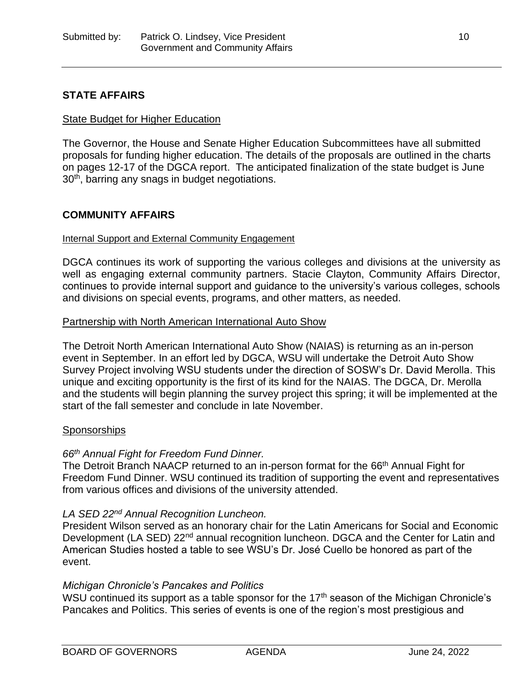# **STATE AFFAIRS**

#### State Budget for Higher Education

The Governor, the House and Senate Higher Education Subcommittees have all submitted proposals for funding higher education. The details of the proposals are outlined in the charts on pages 12-17 of the DGCA report. The anticipated finalization of the state budget is June 30<sup>th</sup>, barring any snags in budget negotiations.

### **COMMUNITY AFFAIRS**

#### Internal Support and External Community Engagement

DGCA continues its work of supporting the various colleges and divisions at the university as well as engaging external community partners. Stacie Clayton, Community Affairs Director, continues to provide internal support and guidance to the university's various colleges, schools and divisions on special events, programs, and other matters, as needed.

#### Partnership with North American International Auto Show

The Detroit North American International Auto Show (NAIAS) is returning as an in-person event in September. In an effort led by DGCA, WSU will undertake the Detroit Auto Show Survey Project involving WSU students under the direction of SOSW's Dr. David Merolla. This unique and exciting opportunity is the first of its kind for the NAIAS. The DGCA, Dr. Merolla and the students will begin planning the survey project this spring; it will be implemented at the start of the fall semester and conclude in late November.

#### **Sponsorships**

#### *66th Annual Fight for Freedom Fund Dinner.*

The Detroit Branch NAACP returned to an in-person format for the 66<sup>th</sup> Annual Fight for Freedom Fund Dinner. WSU continued its tradition of supporting the event and representatives from various offices and divisions of the university attended.

#### *LA SED 22nd Annual Recognition Luncheon.*

President Wilson served as an honorary chair for the Latin Americans for Social and Economic Development (LA SED) 22<sup>nd</sup> annual recognition luncheon. DGCA and the Center for Latin and American Studies hosted a table to see WSU's Dr. José Cuello be honored as part of the event.

#### *Michigan Chronicle's Pancakes and Politics*

WSU continued its support as a table sponsor for the  $17<sup>th</sup>$  season of the Michigan Chronicle's Pancakes and Politics. This series of events is one of the region's most prestigious and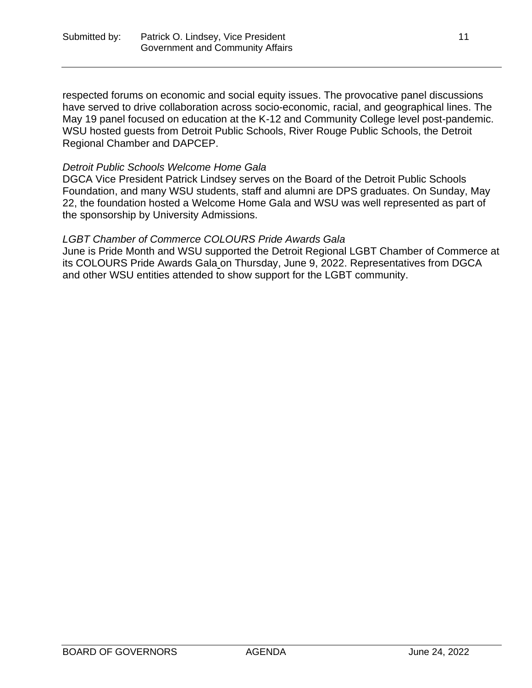respected forums on economic and social equity issues. The provocative panel discussions have served to drive collaboration across socio-economic, racial, and geographical lines. The May 19 panel focused on education at the K-12 and Community College level post-pandemic. WSU hosted guests from Detroit Public Schools, River Rouge Public Schools, the Detroit Regional Chamber and DAPCEP.

# *Detroit Public Schools Welcome Home Gala*

DGCA Vice President Patrick Lindsey serves on the Board of the Detroit Public Schools Foundation, and many WSU students, staff and alumni are DPS graduates. On Sunday, May 22, the foundation hosted a Welcome Home Gala and WSU was well represented as part of the sponsorship by University Admissions.

### *LGBT Chamber of Commerce COLOURS Pride Awards Gala*

June is Pride Month and WSU supported the Detroit Regional LGBT Chamber of Commerce at its COLOURS Pride Awards Gala on Thursday, June 9, 2022. Representatives from DGCA and other WSU entities attended to show support for the LGBT community.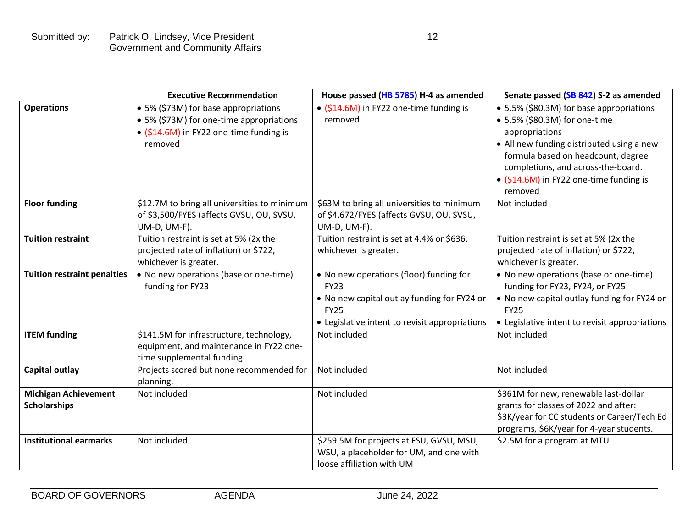|                                                    | <b>Executive Recommendation</b>                                                                                                        | House passed (HB 5785) H-4 as amended                                                                                                                                  | Senate passed (SB 842) S-2 as amended                                                                                                                                                                                                                                      |
|----------------------------------------------------|----------------------------------------------------------------------------------------------------------------------------------------|------------------------------------------------------------------------------------------------------------------------------------------------------------------------|----------------------------------------------------------------------------------------------------------------------------------------------------------------------------------------------------------------------------------------------------------------------------|
| <b>Operations</b>                                  | • 5% (\$73M) for base appropriations<br>• 5% (\$73M) for one-time appropriations<br>• (\$14.6M) in FY22 one-time funding is<br>removed | • (\$14.6M) in FY22 one-time funding is<br>removed                                                                                                                     | • 5.5% (\$80.3M) for base appropriations<br>• 5.5% (\$80.3M) for one-time<br>appropriations<br>• All new funding distributed using a new<br>formula based on headcount, degree<br>completions, and across-the-board.<br>• (\$14.6M) in FY22 one-time funding is<br>removed |
| <b>Floor funding</b>                               | \$12.7M to bring all universities to minimum<br>of \$3,500/FYES (affects GVSU, OU, SVSU,<br>UM-D, UM-F).                               | \$63M to bring all universities to minimum<br>of \$4,672/FYES (affects GVSU, OU, SVSU,<br>UM-D, UM-F).                                                                 | Not included                                                                                                                                                                                                                                                               |
| <b>Tuition restraint</b>                           | Tuition restraint is set at 5% (2x the<br>projected rate of inflation) or \$722,<br>whichever is greater.                              | Tuition restraint is set at 4.4% or \$636,<br>whichever is greater.                                                                                                    | Tuition restraint is set at 5% (2x the<br>projected rate of inflation) or \$722,<br>whichever is greater.                                                                                                                                                                  |
| <b>Tuition restraint penalties</b>                 | • No new operations (base or one-time)<br>funding for FY23                                                                             | • No new operations (floor) funding for<br><b>FY23</b><br>• No new capital outlay funding for FY24 or<br><b>FY25</b><br>• Legislative intent to revisit appropriations | • No new operations (base or one-time)<br>funding for FY23, FY24, or FY25<br>• No new capital outlay funding for FY24 or<br><b>FY25</b><br>• Legislative intent to revisit appropriations                                                                                  |
| <b>ITEM funding</b>                                | \$141.5M for infrastructure, technology,<br>equipment, and maintenance in FY22 one-<br>time supplemental funding.                      | Not included                                                                                                                                                           | Not included                                                                                                                                                                                                                                                               |
| <b>Capital outlay</b>                              | Projects scored but none recommended for<br>planning.                                                                                  | Not included                                                                                                                                                           | Not included                                                                                                                                                                                                                                                               |
| <b>Michigan Achievement</b><br><b>Scholarships</b> | Not included                                                                                                                           | Not included                                                                                                                                                           | \$361M for new, renewable last-dollar<br>grants for classes of 2022 and after:<br>\$3K/year for CC students or Career/Tech Ed<br>programs, \$6K/year for 4-year students.                                                                                                  |
| <b>Institutional earmarks</b>                      | Not included                                                                                                                           | \$259.5M for projects at FSU, GVSU, MSU,<br>WSU, a placeholder for UM, and one with<br>loose affiliation with UM                                                       | \$2.5M for a program at MTU                                                                                                                                                                                                                                                |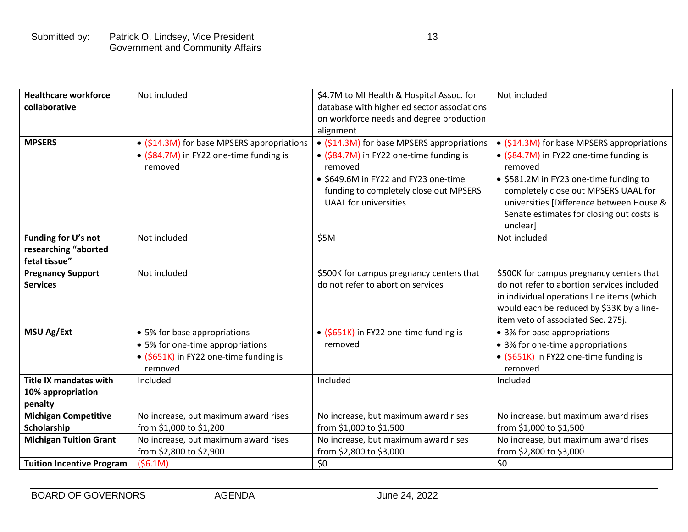| <b>Healthcare workforce</b><br>collaborative                  | Not included                                                                                                          | \$4.7M to MI Health & Hospital Assoc. for<br>database with higher ed sector associations<br>on workforce needs and degree production<br>alignment                                                                  | Not included                                                                                                                                                                                                                                                                            |
|---------------------------------------------------------------|-----------------------------------------------------------------------------------------------------------------------|--------------------------------------------------------------------------------------------------------------------------------------------------------------------------------------------------------------------|-----------------------------------------------------------------------------------------------------------------------------------------------------------------------------------------------------------------------------------------------------------------------------------------|
| <b>MPSERS</b>                                                 | • (\$14.3M) for base MPSERS appropriations<br>• (\$84.7M) in FY22 one-time funding is<br>removed                      | • (\$14.3M) for base MPSERS appropriations<br>• (\$84.7M) in FY22 one-time funding is<br>removed<br>• \$649.6M in FY22 and FY23 one-time<br>funding to completely close out MPSERS<br><b>UAAL</b> for universities | • (\$14.3M) for base MPSERS appropriations<br>• (\$84.7M) in FY22 one-time funding is<br>removed<br>• \$581.2M in FY23 one-time funding to<br>completely close out MPSERS UAAL for<br>universities [Difference between House &<br>Senate estimates for closing out costs is<br>unclearl |
| Funding for U's not<br>researching "aborted<br>fetal tissue"  | Not included                                                                                                          | \$5M                                                                                                                                                                                                               | Not included                                                                                                                                                                                                                                                                            |
| <b>Pregnancy Support</b><br><b>Services</b>                   | Not included                                                                                                          | \$500K for campus pregnancy centers that<br>do not refer to abortion services                                                                                                                                      | \$500K for campus pregnancy centers that<br>do not refer to abortion services included<br>in individual operations line items (which<br>would each be reduced by \$33K by a line-<br>item veto of associated Sec. 275j.                                                                 |
| <b>MSU Ag/Ext</b>                                             | • 5% for base appropriations<br>• 5% for one-time appropriations<br>• (\$651K) in FY22 one-time funding is<br>removed | • (\$651K) in FY22 one-time funding is<br>removed                                                                                                                                                                  | • 3% for base appropriations<br>• 3% for one-time appropriations<br>• (\$651K) in FY22 one-time funding is<br>removed                                                                                                                                                                   |
| <b>Title IX mandates with</b><br>10% appropriation<br>penalty | Included                                                                                                              | Included                                                                                                                                                                                                           | Included                                                                                                                                                                                                                                                                                |
| <b>Michigan Competitive</b><br>Scholarship                    | No increase, but maximum award rises<br>from \$1,000 to \$1,200                                                       | No increase, but maximum award rises<br>from \$1,000 to \$1,500                                                                                                                                                    | No increase, but maximum award rises<br>from \$1,000 to \$1,500                                                                                                                                                                                                                         |
| <b>Michigan Tuition Grant</b>                                 | No increase, but maximum award rises<br>from \$2,800 to \$2,900                                                       | No increase, but maximum award rises<br>from \$2,800 to \$3,000                                                                                                                                                    | No increase, but maximum award rises<br>from \$2,800 to \$3,000                                                                                                                                                                                                                         |
| <b>Tuition Incentive Program</b>                              | (56.1M)                                                                                                               | \$0                                                                                                                                                                                                                | \$0                                                                                                                                                                                                                                                                                     |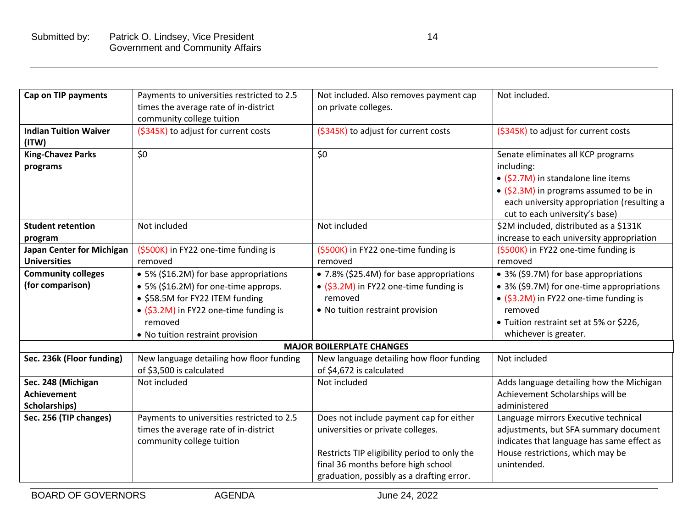| <b>Cap on TIP payments</b>                                | Payments to universities restricted to 2.5<br>times the average rate of in-district<br>community college tuition                                                                                           | Not included. Also removes payment cap<br>on private colleges.                                                                                                                                                  | Not included.                                                                                                                                                                                                      |
|-----------------------------------------------------------|------------------------------------------------------------------------------------------------------------------------------------------------------------------------------------------------------------|-----------------------------------------------------------------------------------------------------------------------------------------------------------------------------------------------------------------|--------------------------------------------------------------------------------------------------------------------------------------------------------------------------------------------------------------------|
| <b>Indian Tuition Waiver</b><br>(ITW)                     | (\$345K) to adjust for current costs                                                                                                                                                                       | (\$345K) to adjust for current costs                                                                                                                                                                            | (\$345K) to adjust for current costs                                                                                                                                                                               |
| <b>King-Chavez Parks</b><br>programs                      | \$0                                                                                                                                                                                                        | \$0                                                                                                                                                                                                             | Senate eliminates all KCP programs<br>including:<br>• (\$2.7M) in standalone line items<br>• (\$2.3M) in programs assumed to be in<br>each university appropriation (resulting a<br>cut to each university's base) |
| <b>Student retention</b><br>program                       | Not included                                                                                                                                                                                               | Not included                                                                                                                                                                                                    | \$2M included, distributed as a \$131K<br>increase to each university appropriation                                                                                                                                |
| <b>Japan Center for Michigan</b><br><b>Universities</b>   | (\$500K) in FY22 one-time funding is<br>removed                                                                                                                                                            | (\$500K) in FY22 one-time funding is<br>removed                                                                                                                                                                 | (\$500K) in FY22 one-time funding is<br>removed                                                                                                                                                                    |
| <b>Community colleges</b><br>(for comparison)             | • 5% (\$16.2M) for base appropriations<br>• 5% (\$16.2M) for one-time approps.<br>• \$58.5M for FY22 ITEM funding<br>• (\$3.2M) in FY22 one-time funding is<br>removed<br>• No tuition restraint provision | • 7.8% (\$25.4M) for base appropriations<br>• (\$3.2M) in FY22 one-time funding is<br>removed<br>• No tuition restraint provision                                                                               | • 3% (\$9.7M) for base appropriations<br>• 3% (\$9.7M) for one-time appropriations<br>• (\$3.2M) in FY22 one-time funding is<br>removed<br>• Tuition restraint set at 5% or \$226,<br>whichever is greater.        |
|                                                           |                                                                                                                                                                                                            | <b>MAJOR BOILERPLATE CHANGES</b>                                                                                                                                                                                |                                                                                                                                                                                                                    |
| Sec. 236k (Floor funding)                                 | New language detailing how floor funding<br>of \$3,500 is calculated                                                                                                                                       | New language detailing how floor funding<br>of \$4,672 is calculated                                                                                                                                            | Not included                                                                                                                                                                                                       |
| Sec. 248 (Michigan<br><b>Achievement</b><br>Scholarships) | Not included                                                                                                                                                                                               | Not included                                                                                                                                                                                                    | Adds language detailing how the Michigan<br>Achievement Scholarships will be<br>administered                                                                                                                       |
| Sec. 256 (TIP changes)                                    | Payments to universities restricted to 2.5<br>times the average rate of in-district<br>community college tuition                                                                                           | Does not include payment cap for either<br>universities or private colleges.<br>Restricts TIP eligibility period to only the<br>final 36 months before high school<br>graduation, possibly as a drafting error. | Language mirrors Executive technical<br>adjustments, but SFA summary document<br>indicates that language has same effect as<br>House restrictions, which may be<br>unintended.                                     |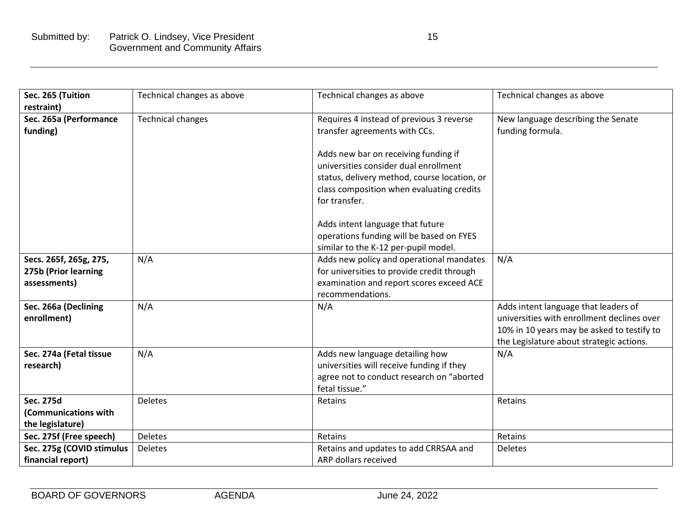| Sec. 265 (Tuition                              | Technical changes as above | Technical changes as above                                                             | Technical changes as above                 |
|------------------------------------------------|----------------------------|----------------------------------------------------------------------------------------|--------------------------------------------|
| restraint)                                     |                            |                                                                                        |                                            |
| Sec. 265a (Performance                         | <b>Technical changes</b>   | Requires 4 instead of previous 3 reverse                                               | New language describing the Senate         |
| funding)                                       |                            | transfer agreements with CCs.                                                          | funding formula.                           |
|                                                |                            |                                                                                        |                                            |
|                                                |                            | Adds new bar on receiving funding if                                                   |                                            |
|                                                |                            | universities consider dual enrollment                                                  |                                            |
|                                                |                            | status, delivery method, course location, or                                           |                                            |
|                                                |                            | class composition when evaluating credits                                              |                                            |
|                                                |                            | for transfer.                                                                          |                                            |
|                                                |                            |                                                                                        |                                            |
|                                                |                            | Adds intent language that future                                                       |                                            |
|                                                |                            | operations funding will be based on FYES                                               |                                            |
|                                                |                            | similar to the K-12 per-pupil model.                                                   |                                            |
| Secs. 265f, 265g, 275,<br>275b (Prior learning | N/A                        | Adds new policy and operational mandates<br>for universities to provide credit through | N/A                                        |
| assessments)                                   |                            | examination and report scores exceed ACE                                               |                                            |
|                                                |                            | recommendations.                                                                       |                                            |
| Sec. 266a (Declining                           | N/A                        | N/A                                                                                    | Adds intent language that leaders of       |
| enrollment)                                    |                            |                                                                                        | universities with enrollment declines over |
|                                                |                            |                                                                                        | 10% in 10 years may be asked to testify to |
|                                                |                            |                                                                                        | the Legislature about strategic actions.   |
| Sec. 274a (Fetal tissue                        | N/A                        | Adds new language detailing how                                                        | N/A                                        |
| research)                                      |                            | universities will receive funding if they                                              |                                            |
|                                                |                            | agree not to conduct research on "aborted                                              |                                            |
|                                                |                            | fetal tissue."                                                                         |                                            |
| <b>Sec. 275d</b>                               | <b>Deletes</b>             | Retains                                                                                | Retains                                    |
| (Communications with                           |                            |                                                                                        |                                            |
| the legislature)                               |                            |                                                                                        |                                            |
| Sec. 275f (Free speech)                        | <b>Deletes</b>             | Retains                                                                                | Retains                                    |
| Sec. 275g (COVID stimulus                      | <b>Deletes</b>             | Retains and updates to add CRRSAA and                                                  | <b>Deletes</b>                             |
| financial report)                              |                            | ARP dollars received                                                                   |                                            |